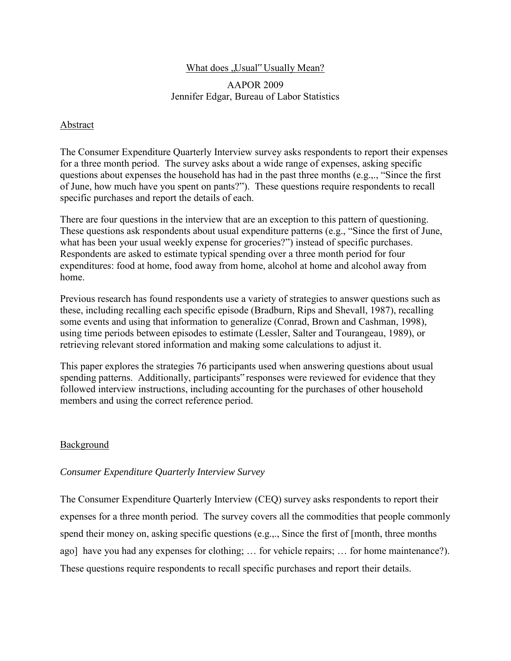# What does "Usual" Usually Mean?

# AAPOR 2009 Jennifer Edgar, Bureau of Labor Statistics

# Abstract

The Consumer Expenditure Quarterly Interview survey asks respondents to report their expenses for a three month period. The survey asks about a wide range of expenses, asking specific questions about expenses the household has had in the past three months (e.g.,., "Since the first of June, how much have you spent on pants?"). These questions require respondents to recall specific purchases and report the details of each.

There are four questions in the interview that are an exception to this pattern of questioning. These questions ask respondents about usual expenditure patterns (e.g., "Since the first of June, what has been your usual weekly expense for groceries?") instead of specific purchases. Respondents are asked to estimate typical spending over a three month period for four expenditures: food at home, food away from home, alcohol at home and alcohol away from home.

Previous research has found respondents use a variety of strategies to answer questions such as these, including recalling each specific episode (Bradburn, Rips and Shevall, 1987), recalling some events and using that information to generalize (Conrad, Brown and Cashman, 1998), using time periods between episodes to estimate (Lessler, Salter and Tourangeau, 1989), or retrieving relevant stored information and making some calculations to adjust it.

This paper explores the strategies 76 participants used when answering questions about usual spending patterns. Additionally, participants" responses were reviewed for evidence that they followed interview instructions, including accounting for the purchases of other household members and using the correct reference period.

## **Background**

# *Consumer Expenditure Quarterly Interview Survey*

The Consumer Expenditure Quarterly Interview (CEQ) survey asks respondents to report their expenses for a three month period. The survey covers all the commodities that people commonly spend their money on, asking specific questions (e.g.,., Since the first of [month, three months ago] have you had any expenses for clothing; … for vehicle repairs; … for home maintenance?). These questions require respondents to recall specific purchases and report their details.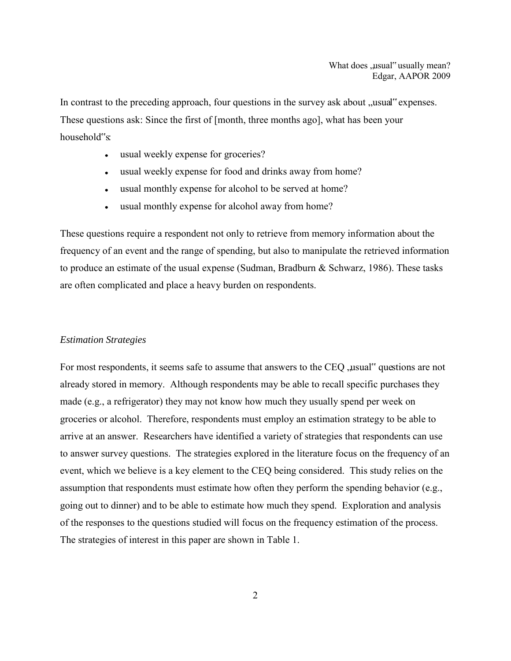In contrast to the preceding approach, four questions in the survey ask about "usual" expenses. These questions ask: Since the first of [month, three months ago], what has been your household"s:

- usual weekly expense for groceries?  $\bullet$
- usual weekly expense for food and drinks away from home?  $\bullet$
- usual monthly expense for alcohol to be served at home?  $\bullet$
- usual monthly expense for alcohol away from home?  $\bullet$

These questions require a respondent not only to retrieve from memory information about the frequency of an event and the range of spending, but also to manipulate the retrieved information to produce an estimate of the usual expense (Sudman, Bradburn & Schwarz, 1986). These tasks are often complicated and place a heavy burden on respondents.

## *Estimation Strategies*

For most respondents, it seems safe to assume that answers to the CEQ , usual "questions are not already stored in memory. Although respondents may be able to recall specific purchases they made (e.g., a refrigerator) they may not know how much they usually spend per week on groceries or alcohol. Therefore, respondents must employ an estimation strategy to be able to arrive at an answer. Researchers have identified a variety of strategies that respondents can use to answer survey questions. The strategies explored in the literature focus on the frequency of an event, which we believe is a key element to the CEQ being considered. This study relies on the assumption that respondents must estimate how often they perform the spending behavior (e.g., going out to dinner) and to be able to estimate how much they spend. Exploration and analysis of the responses to the questions studied will focus on the frequency estimation of the process. The strategies of interest in this paper are shown in Table 1.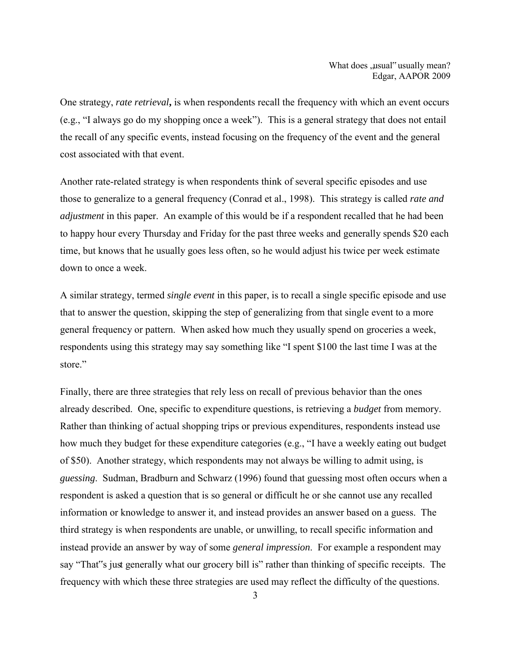One strategy, *rate retrieval***,** is when respondents recall the frequency with which an event occurs (e.g., "I always go do my shopping once a week"). This is a general strategy that does not entail the recall of any specific events, instead focusing on the frequency of the event and the general cost associated with that event.

Another rate-related strategy is when respondents think of several specific episodes and use those to generalize to a general frequency (Conrad et al., 1998). This strategy is called *rate and adjustment* in this paper. An example of this would be if a respondent recalled that he had been to happy hour every Thursday and Friday for the past three weeks and generally spends \$20 each time, but knows that he usually goes less often, so he would adjust his twice per week estimate down to once a week.

A similar strategy, termed *single event* in this paper, is to recall a single specific episode and use that to answer the question, skipping the step of generalizing from that single event to a more general frequency or pattern. When asked how much they usually spend on groceries a week, respondents using this strategy may say something like "I spent \$100 the last time I was at the store."

Finally, there are three strategies that rely less on recall of previous behavior than the ones already described. One, specific to expenditure questions, is retrieving a *budget* from memory. Rather than thinking of actual shopping trips or previous expenditures, respondents instead use how much they budget for these expenditure categories (e.g., "I have a weekly eating out budget of \$50). Another strategy, which respondents may not always be willing to admit using, is *guessing*. Sudman, Bradburn and Schwarz (1996) found that guessing most often occurs when a respondent is asked a question that is so general or difficult he or she cannot use any recalled information or knowledge to answer it, and instead provides an answer based on a guess. The third strategy is when respondents are unable, or unwilling, to recall specific information and instead provide an answer by way of some *general impression*. For example a respondent may say "That"s just generally what our grocery bill is" rather than thinking of specific receipts. The frequency with which these three strategies are used may reflect the difficulty of the questions.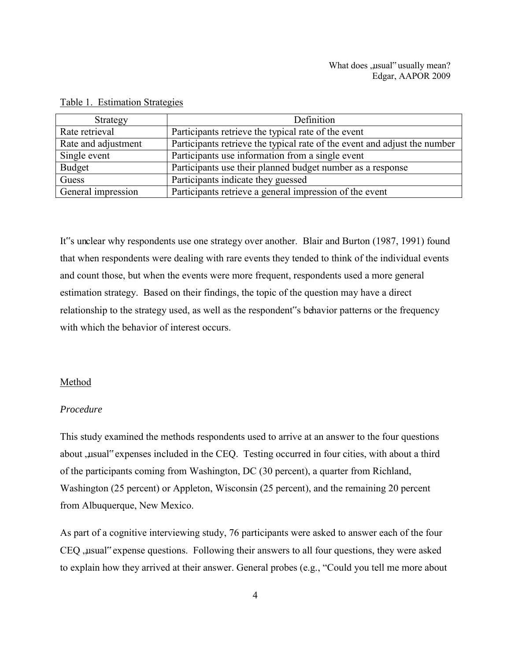| Strategy            | Definition                                                                |
|---------------------|---------------------------------------------------------------------------|
| Rate retrieval      | Participants retrieve the typical rate of the event                       |
| Rate and adjustment | Participants retrieve the typical rate of the event and adjust the number |
| Single event        | Participants use information from a single event                          |
| <b>Budget</b>       | Participants use their planned budget number as a response                |
| Guess               | Participants indicate they guessed                                        |
| General impression  | Participants retrieve a general impression of the event                   |

## Table 1. Estimation Strategies

It"s unclear why respondents use one strategy over another. Blair and Burton (1987, 1991) found that when respondents were dealing with rare events they tended to think of the individual events and count those, but when the events were more frequent, respondents used a more general estimation strategy. Based on their findings, the topic of the question may have a direct relationship to the strategy used, as well as the respondent"s behavior patterns or the frequency with which the behavior of interest occurs.

#### Method

## *Procedure*

This study examined the methods respondents used to arrive at an answer to the four questions about , usual "expenses included in the CEQ. Testing occurred in four cities, with about a third of the participants coming from Washington, DC (30 percent), a quarter from Richland, Washington (25 percent) or Appleton, Wisconsin (25 percent), and the remaining 20 percent from Albuquerque, New Mexico.

As part of a cognitive interviewing study, 76 participants were asked to answer each of the four CEQ , usual "expense questions. Following their answers to all four questions, they were asked to explain how they arrived at their answer. General probes (e.g., "Could you tell me more about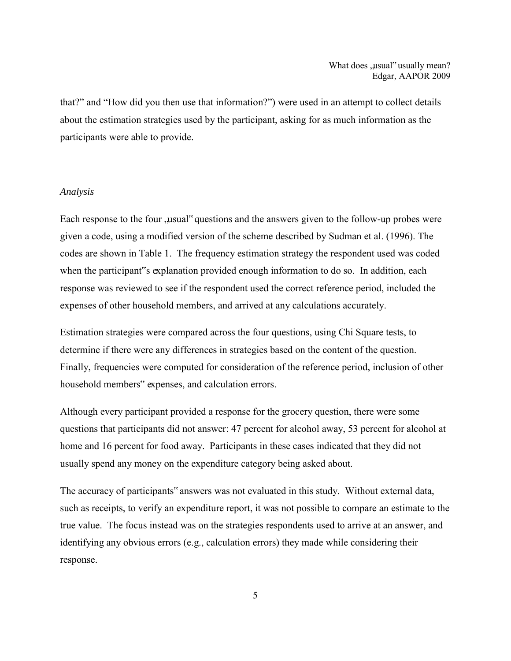that?" and "How did you then use that information?") were used in an attempt to collect details about the estimation strategies used by the participant, asking for as much information as the participants were able to provide.

#### *Analysis*

Each response to the four "usual" questions and the answers given to the follow-up probes were given a code, using a modified version of the scheme described by Sudman et al. (1996). The codes are shown in Table 1. The frequency estimation strategy the respondent used was coded when the participant"s explanation provided enough information to do so. In addition, each response was reviewed to see if the respondent used the correct reference period, included the expenses of other household members, and arrived at any calculations accurately.

Estimation strategies were compared across the four questions, using Chi Square tests, to determine if there were any differences in strategies based on the content of the question. Finally, frequencies were computed for consideration of the reference period, inclusion of other household members" expenses, and calculation errors.

Although every participant provided a response for the grocery question, there were some questions that participants did not answer: 47 percent for alcohol away, 53 percent for alcohol at home and 16 percent for food away. Participants in these cases indicated that they did not usually spend any money on the expenditure category being asked about.

The accuracy of participants" answers was not evaluated in this study. Without external data, such as receipts, to verify an expenditure report, it was not possible to compare an estimate to the true value. The focus instead was on the strategies respondents used to arrive at an answer, and identifying any obvious errors (e.g., calculation errors) they made while considering their response.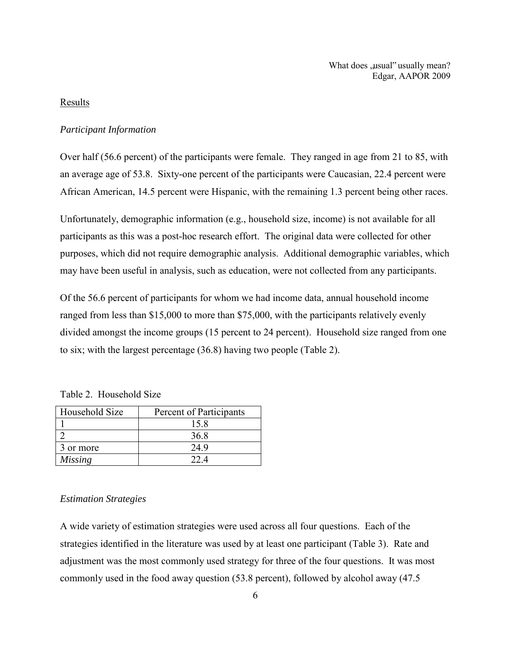What does .usual" usually mean? Edgar, AAPOR 2009

## Results

#### *Participant Information*

Over half (56.6 percent) of the participants were female. They ranged in age from 21 to 85, with an average age of 53.8. Sixty-one percent of the participants were Caucasian, 22.4 percent were African American, 14.5 percent were Hispanic, with the remaining 1.3 percent being other races.

Unfortunately, demographic information (e.g., household size, income) is not available for all participants as this was a post-hoc research effort. The original data were collected for other purposes, which did not require demographic analysis. Additional demographic variables, which may have been useful in analysis, such as education, were not collected from any participants.

Of the 56.6 percent of participants for whom we had income data, annual household income ranged from less than \$15,000 to more than \$75,000, with the participants relatively evenly divided amongst the income groups (15 percent to 24 percent). Household size ranged from one to six; with the largest percentage (36.8) having two people (Table 2).

Table 2. Household Size

| Household Size | Percent of Participants |
|----------------|-------------------------|
|                | 15 8                    |
|                | 36.8                    |
| 3 or more      | 249                     |
| <b>Missing</b> |                         |

#### *Estimation Strategies*

A wide variety of estimation strategies were used across all four questions. Each of the strategies identified in the literature was used by at least one participant (Table 3). Rate and adjustment was the most commonly used strategy for three of the four questions. It was most commonly used in the food away question (53.8 percent), followed by alcohol away (47.5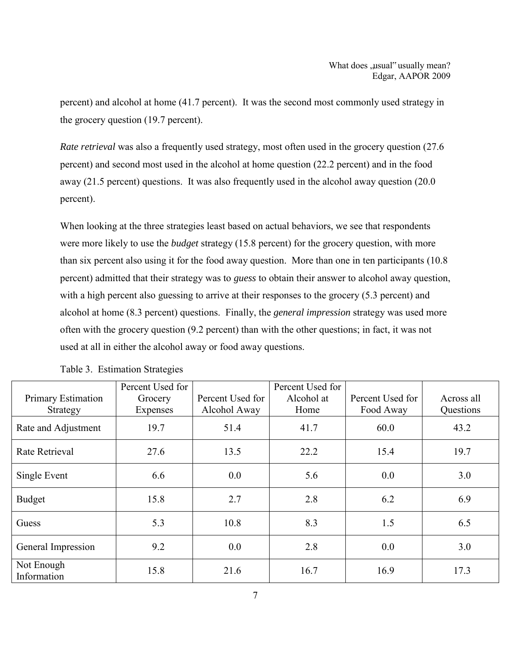percent) and alcohol at home (41.7 percent). It was the second most commonly used strategy in the grocery question (19.7 percent).

*Rate retrieval* was also a frequently used strategy, most often used in the grocery question (27.6 percent) and second most used in the alcohol at home question (22.2 percent) and in the food away (21.5 percent) questions. It was also frequently used in the alcohol away question (20.0 percent).

When looking at the three strategies least based on actual behaviors, we see that respondents were more likely to use the *budget* strategy (15.8 percent) for the grocery question, with more than six percent also using it for the food away question. More than one in ten participants (10.8 percent) admitted that their strategy was to *guess* to obtain their answer to alcohol away question, with a high percent also guessing to arrive at their responses to the grocery (5.3 percent) and alcohol at home (8.3 percent) questions. Finally, the *general impression* strategy was used more often with the grocery question (9.2 percent) than with the other questions; in fact, it was not used at all in either the alcohol away or food away questions.

|                           | Percent Used for |                  | Percent Used for |                  |            |
|---------------------------|------------------|------------------|------------------|------------------|------------|
| Primary Estimation        | Grocery          | Percent Used for | Alcohol at       | Percent Used for | Across all |
| Strategy                  | Expenses         | Alcohol Away     | Home             | Food Away        | Questions  |
| Rate and Adjustment       | 19.7             | 51.4             | 41.7             | 60.0             | 43.2       |
| Rate Retrieval            | 27.6             | 13.5             | 22.2             | 15.4             | 19.7       |
| Single Event              | 6.6              | 0.0              | 5.6              | 0.0              | 3.0        |
| <b>Budget</b>             | 15.8             | 2.7              | 2.8              | 6.2              | 6.9        |
| Guess                     | 5.3              | 10.8             | 8.3              | 1.5              | 6.5        |
| General Impression        | 9.2              | 0.0              | 2.8              | 0.0              | 3.0        |
| Not Enough<br>Information | 15.8             | 21.6             | 16.7             | 16.9             | 17.3       |

Table 3. Estimation Strategies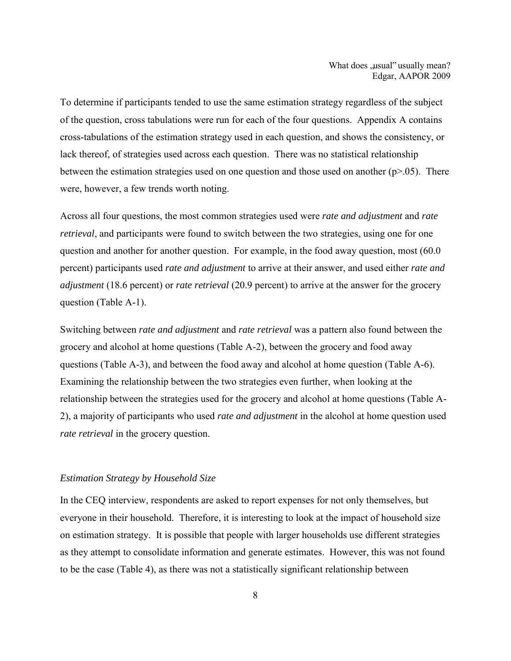To determine if participants tended to use the same estimation strategy regardless of the subject of the question, cross tabulations were run for each of the four questions. Appendix A contains cross-tabulations of the estimation strategy used in each question, and shows the consistency, or lack thereof, of strategies used across each question. There was no statistical relationship between the estimation strategies used on one question and those used on another  $(p>0.05)$ . There were, however, a few trends worth noting.

Across all four questions, the most common strategies used were *rate and adjustment* and *rate retrieval*, and participants were found to switch between the two strategies, using one for one question and another for another question. For example, in the food away question, most (60.0 percent) participants used *rate and adjustment* to arrive at their answer, and used either *rate and adjustment* (18.6 percent) or *rate retrieval* (20.9 percent) to arrive at the answer for the grocery question (Table A-1).

Switching between *rate and adjustment* and *rate retrieval* was a pattern also found between the grocery and alcohol at home questions (Table A-2), between the grocery and food away questions (Table A-3), and between the food away and alcohol at home question (Table A-6). Examining the relationship between the two strategies even further, when looking at the relationship between the strategies used for the grocery and alcohol at home questions (Table A-2), a majority of participants who used *rate and adjustment* in the alcohol at home question used *rate retrieval* in the grocery question.

### *Estimation Strategy by Household Size*

In the CEQ interview, respondents are asked to report expenses for not only themselves, but everyone in their household. Therefore, it is interesting to look at the impact of household size on estimation strategy. It is possible that people with larger households use different strategies as they attempt to consolidate information and generate estimates. However, this was not found to be the case (Table 4), as there was not a statistically significant relationship between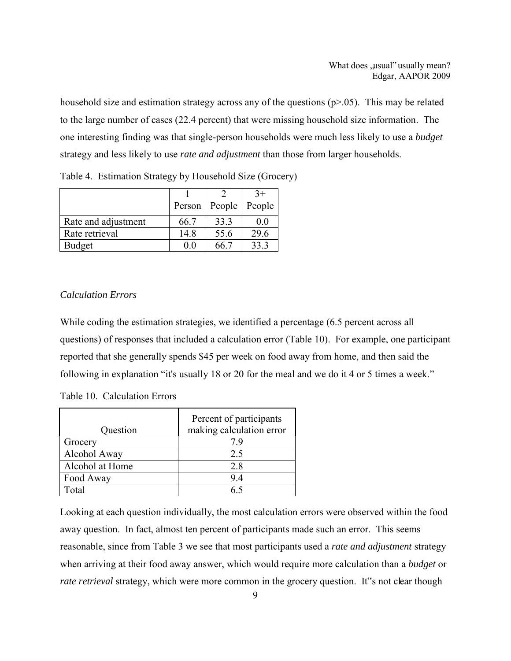household size and estimation strategy across any of the questions ( $p>0.05$ ). This may be related to the large number of cases (22.4 percent) that were missing household size information. The one interesting finding was that single-person households were much less likely to use a *budget* strategy and less likely to use *rate and adjustment* than those from larger households.

|                     |        |        | $3+$           |
|---------------------|--------|--------|----------------|
|                     | Person | People | People         |
| Rate and adjustment | 66.7   | 33.3   | 0 <sub>0</sub> |
| Rate retrieval      | 14.8   | 55.6   | 29.6           |
| <b>Budget</b>       | 00     | 66 7   | 33.3           |

Table 4. Estimation Strategy by Household Size (Grocery)

# *Calculation Errors*

While coding the estimation strategies, we identified a percentage (6.5 percent across all questions) of responses that included a calculation error (Table 10). For example, one participant reported that she generally spends \$45 per week on food away from home, and then said the following in explanation "it's usually 18 or 20 for the meal and we do it 4 or 5 times a week."

Table 10. Calculation Errors

| Question        | Percent of participants<br>making calculation error |
|-----------------|-----------------------------------------------------|
| Grocery         | 79                                                  |
| Alcohol Away    | 2.5                                                 |
| Alcohol at Home | 2.8                                                 |
| Food Away       | 94                                                  |
| Total           |                                                     |

Looking at each question individually, the most calculation errors were observed within the food away question. In fact, almost ten percent of participants made such an error. This seems reasonable, since from Table 3 we see that most participants used a *rate and adjustment* strategy when arriving at their food away answer, which would require more calculation than a *budget* or *rate retrieval* strategy, which were more common in the grocery question. It"s not clear though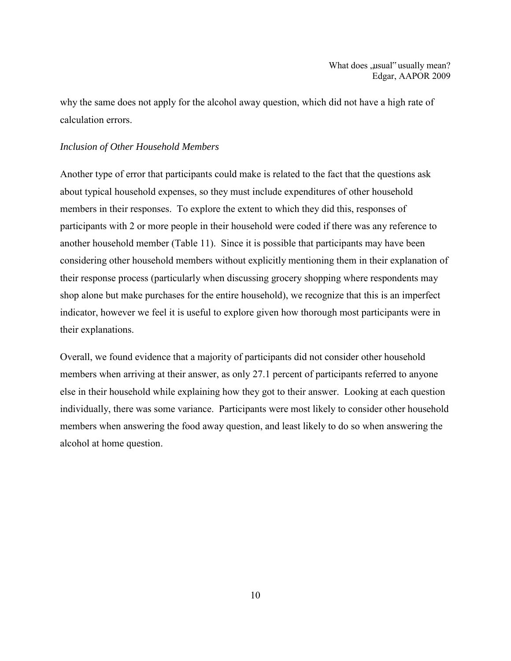why the same does not apply for the alcohol away question, which did not have a high rate of calculation errors.

## *Inclusion of Other Household Members*

Another type of error that participants could make is related to the fact that the questions ask about typical household expenses, so they must include expenditures of other household members in their responses. To explore the extent to which they did this, responses of participants with 2 or more people in their household were coded if there was any reference to another household member (Table 11). Since it is possible that participants may have been considering other household members without explicitly mentioning them in their explanation of their response process (particularly when discussing grocery shopping where respondents may shop alone but make purchases for the entire household), we recognize that this is an imperfect indicator, however we feel it is useful to explore given how thorough most participants were in their explanations.

Overall, we found evidence that a majority of participants did not consider other household members when arriving at their answer, as only 27.1 percent of participants referred to anyone else in their household while explaining how they got to their answer. Looking at each question individually, there was some variance. Participants were most likely to consider other household members when answering the food away question, and least likely to do so when answering the alcohol at home question.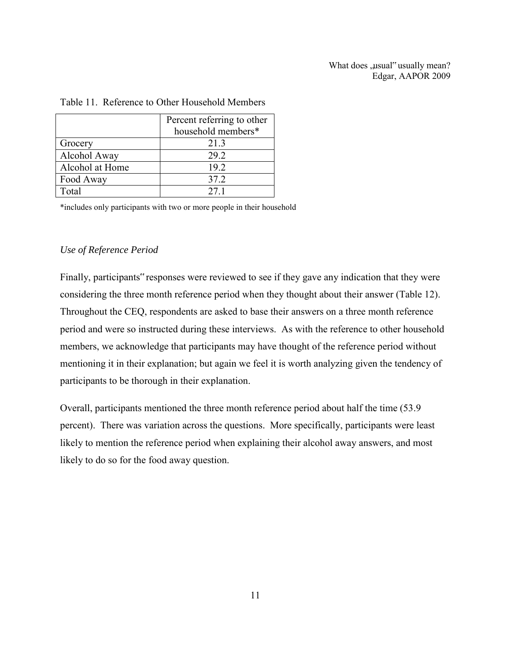|                 | Percent referring to other |
|-----------------|----------------------------|
|                 | household members*         |
| Grocery         | 21.3                       |
| Alcohol Away    | 29.2                       |
| Alcohol at Home | 19.2                       |
| Food Away       | 37.2                       |
| Total           | 27.1                       |

#### Table 11. Reference to Other Household Members

\*includes only participants with two or more people in their household

## *Use of Reference Period*

Finally, participants" responses were reviewed to see if they gave any indication that they were considering the three month reference period when they thought about their answer (Table 12). Throughout the CEQ, respondents are asked to base their answers on a three month reference period and were so instructed during these interviews. As with the reference to other household members, we acknowledge that participants may have thought of the reference period without mentioning it in their explanation; but again we feel it is worth analyzing given the tendency of participants to be thorough in their explanation.

Overall, participants mentioned the three month reference period about half the time (53.9 percent). There was variation across the questions. More specifically, participants were least likely to mention the reference period when explaining their alcohol away answers, and most likely to do so for the food away question.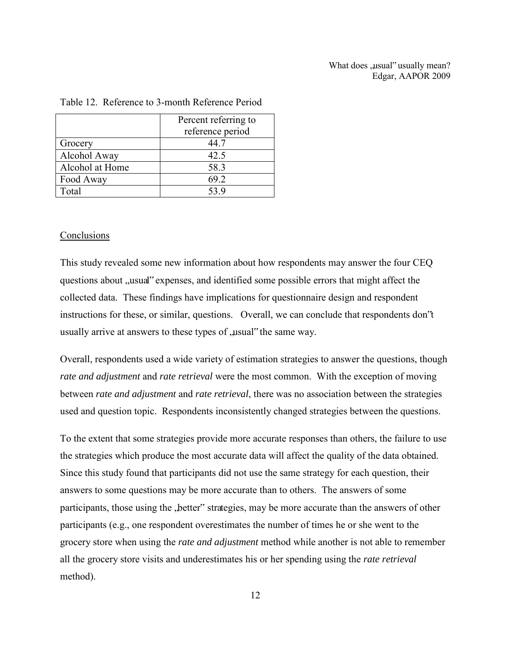## What does .usual" usually mean? Edgar, AAPOR 2009

|                 | Percent referring to |
|-----------------|----------------------|
|                 | reference period     |
| Grocery         | 44 7                 |
| Alcohol Away    | 42.5                 |
| Alcohol at Home | 58.3                 |
| Food Away       | 69.2                 |
| Total           | 53.9                 |

#### Table 12. Reference to 3-month Reference Period

#### **Conclusions**

This study revealed some new information about how respondents may answer the four CEQ questions about "usual" expenses, and identified some possible errors that might affect the collected data. These findings have implications for questionnaire design and respondent instructions for these, or similar, questions. Overall, we can conclude that respondents don"t usually arrive at answers to these types of "usual" the same way.

Overall, respondents used a wide variety of estimation strategies to answer the questions, though *rate and adjustment* and *rate retrieval* were the most common. With the exception of moving between *rate and adjustment* and *rate retrieval*, there was no association between the strategies used and question topic. Respondents inconsistently changed strategies between the questions.

To the extent that some strategies provide more accurate responses than others, the failure to use the strategies which produce the most accurate data will affect the quality of the data obtained. Since this study found that participants did not use the same strategy for each question, their answers to some questions may be more accurate than to others. The answers of some participants, those using the "better" strategies, may be more accurate than the answers of other participants (e.g., one respondent overestimates the number of times he or she went to the grocery store when using the *rate and adjustment* method while another is not able to remember all the grocery store visits and underestimates his or her spending using the *rate retrieval* method).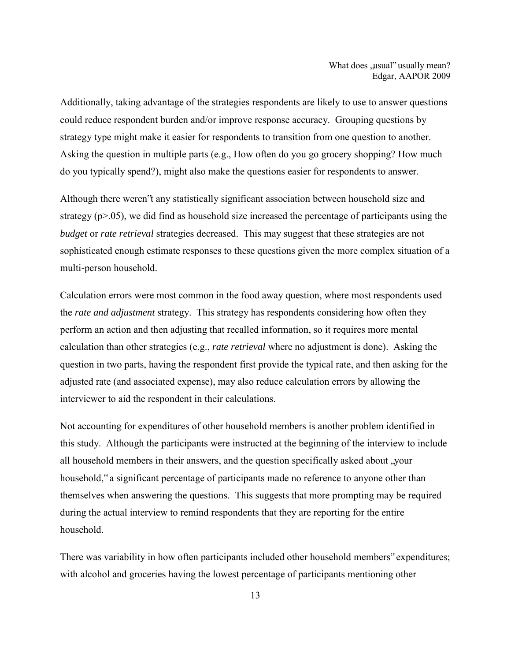Additionally, taking advantage of the strategies respondents are likely to use to answer questions could reduce respondent burden and/or improve response accuracy. Grouping questions by strategy type might make it easier for respondents to transition from one question to another. Asking the question in multiple parts (e.g., How often do you go grocery shopping? How much do you typically spend?), might also make the questions easier for respondents to answer.

Although there weren"t any statistically significant association between household size and strategy  $(p>0.05)$ , we did find as household size increased the percentage of participants using the *budget* or *rate retrieval* strategies decreased. This may suggest that these strategies are not sophisticated enough estimate responses to these questions given the more complex situation of a multi-person household.

Calculation errors were most common in the food away question, where most respondents used the *rate and adjustment* strategy. This strategy has respondents considering how often they perform an action and then adjusting that recalled information, so it requires more mental calculation than other strategies (e.g., *rate retrieval* where no adjustment is done). Asking the question in two parts, having the respondent first provide the typical rate, and then asking for the adjusted rate (and associated expense), may also reduce calculation errors by allowing the interviewer to aid the respondent in their calculations.

Not accounting for expenditures of other household members is another problem identified in this study. Although the participants were instructed at the beginning of the interview to include all household members in their answers, and the question specifically asked about "your household," a significant percentage of participants made no reference to anyone other than themselves when answering the questions. This suggests that more prompting may be required during the actual interview to remind respondents that they are reporting for the entire household.

There was variability in how often participants included other household members" expenditures; with alcohol and groceries having the lowest percentage of participants mentioning other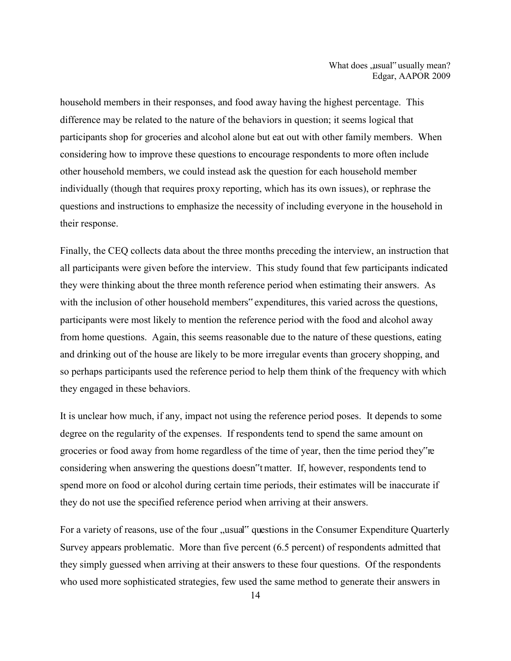household members in their responses, and food away having the highest percentage. This difference may be related to the nature of the behaviors in question; it seems logical that participants shop for groceries and alcohol alone but eat out with other family members. When considering how to improve these questions to encourage respondents to more often include other household members, we could instead ask the question for each household member individually (though that requires proxy reporting, which has its own issues), or rephrase the questions and instructions to emphasize the necessity of including everyone in the household in their response.

Finally, the CEQ collects data about the three months preceding the interview, an instruction that all participants were given before the interview. This study found that few participants indicated they were thinking about the three month reference period when estimating their answers. As with the inclusion of other household members" expenditures, this varied across the questions, participants were most likely to mention the reference period with the food and alcohol away from home questions. Again, this seems reasonable due to the nature of these questions, eating and drinking out of the house are likely to be more irregular events than grocery shopping, and so perhaps participants used the reference period to help them think of the frequency with which they engaged in these behaviors.

It is unclear how much, if any, impact not using the reference period poses. It depends to some degree on the regularity of the expenses. If respondents tend to spend the same amount on groceries or food away from home regardless of the time of year, then the time period they"re considering when answering the questions doesn"t matter. If, however, respondents tend to spend more on food or alcohol during certain time periods, their estimates will be inaccurate if they do not use the specified reference period when arriving at their answers.

For a variety of reasons, use of the four "usual" questions in the Consumer Expenditure Quarterly Survey appears problematic. More than five percent (6.5 percent) of respondents admitted that they simply guessed when arriving at their answers to these four questions. Of the respondents who used more sophisticated strategies, few used the same method to generate their answers in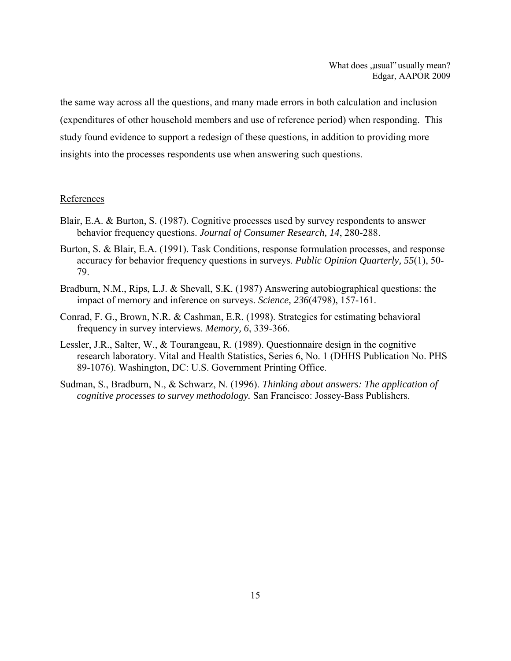the same way across all the questions, and many made errors in both calculation and inclusion (expenditures of other household members and use of reference period) when responding. This study found evidence to support a redesign of these questions, in addition to providing more insights into the processes respondents use when answering such questions.

#### References

- Blair, E.A. & Burton, S. (1987). Cognitive processes used by survey respondents to answer behavior frequency questions. *Journal of Consumer Research, 14*, 280-288.
- Burton, S. & Blair, E.A. (1991). Task Conditions, response formulation processes, and response accuracy for behavior frequency questions in surveys. *Public Opinion Quarterly, 55*(1), 50- 79.
- Bradburn, N.M., Rips, L.J. & Shevall, S.K. (1987) Answering autobiographical questions: the impact of memory and inference on surveys. *Science, 236*(4798), 157-161.
- Conrad, F. G., Brown, N.R. & Cashman, E.R. (1998). Strategies for estimating behavioral frequency in survey interviews. *Memory, 6*, 339-366.
- Lessler, J.R., Salter, W., & Tourangeau, R. (1989). Questionnaire design in the cognitive research laboratory. Vital and Health Statistics, Series 6, No. 1 (DHHS Publication No. PHS 89-1076). Washington, DC: U.S. Government Printing Office.
- Sudman, S., Bradburn, N., & Schwarz, N. (1996). *Thinking about answers: The application of cognitive processes to survey methodology.* San Francisco: Jossey-Bass Publishers.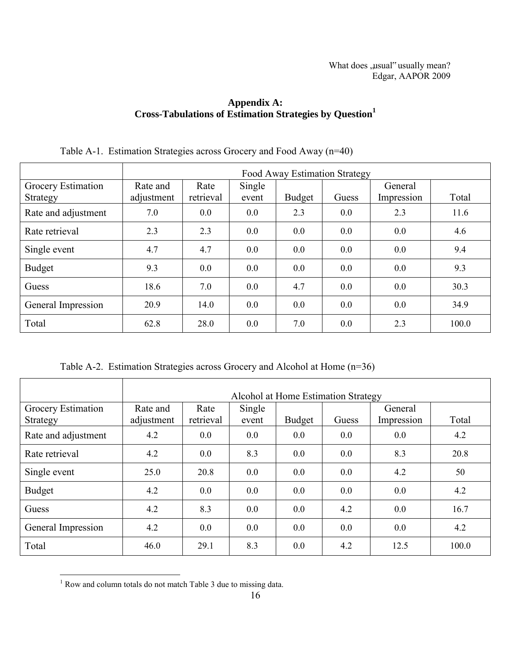# **Appendix A: Cross-Tabulations of Estimation Strategies by Question<sup>1</sup>**

|                                | Food Away Estimation Strategy |                   |                 |               |       |                       |       |  |
|--------------------------------|-------------------------------|-------------------|-----------------|---------------|-------|-----------------------|-------|--|
| Grocery Estimation<br>Strategy | Rate and<br>adjustment        | Rate<br>retrieval | Single<br>event | <b>Budget</b> | Guess | General<br>Impression | Total |  |
| Rate and adjustment            | 7.0                           | 0.0               | 0.0             | 2.3           | 0.0   | 2.3                   | 11.6  |  |
| Rate retrieval                 | 2.3                           | 2.3               | 0.0             | 0.0           | 0.0   | 0.0                   | 4.6   |  |
| Single event                   | 4.7                           | 4.7               | 0.0             | 0.0           | 0.0   | 0.0                   | 9.4   |  |
| <b>Budget</b>                  | 9.3                           | 0.0               | 0.0             | 0.0           | 0.0   | 0.0                   | 9.3   |  |
| Guess                          | 18.6                          | 7.0               | 0.0             | 4.7           | 0.0   | 0.0                   | 30.3  |  |
| General Impression             | 20.9                          | 14.0              | 0.0             | 0.0           | 0.0   | 0.0                   | 34.9  |  |
| Total                          | 62.8                          | 28.0              | 0.0             | 7.0           | 0.0   | 2.3                   | 100.0 |  |

# Table A-1. Estimation Strategies across Grocery and Food Away (n=40)

Table A-2. Estimation Strategies across Grocery and Alcohol at Home (n=36)

|                                | Alcohol at Home Estimation Strategy |                   |                 |               |       |                       |       |  |
|--------------------------------|-------------------------------------|-------------------|-----------------|---------------|-------|-----------------------|-------|--|
| Grocery Estimation<br>Strategy | Rate and<br>adjustment              | Rate<br>retrieval | Single<br>event | <b>Budget</b> | Guess | General<br>Impression | Total |  |
| Rate and adjustment            | 4.2                                 | 0.0               | 0.0             | 0.0           | 0.0   | 0.0                   | 4.2   |  |
| Rate retrieval                 | 4.2                                 | 0.0               | 8.3             | 0.0           | 0.0   | 8.3                   | 20.8  |  |
| Single event                   | 25.0                                | 20.8              | 0.0             | 0.0           | 0.0   | 4.2                   | 50    |  |
| <b>Budget</b>                  | 4.2                                 | 0.0               | 0.0             | 0.0           | 0.0   | 0.0                   | 4.2   |  |
| Guess                          | 4.2                                 | 8.3               | 0.0             | 0.0           | 4.2   | 0.0                   | 16.7  |  |
| General Impression             | 4.2                                 | 0.0               | 0.0             | 0.0           | 0.0   | 0.0                   | 4.2   |  |
| Total                          | 46.0                                | 29.1              | 8.3             | 0.0           | 4.2   | 12.5                  | 100.0 |  |

<sup>&</sup>lt;sup>1</sup> Row and column totals do not match Table 3 due to missing data.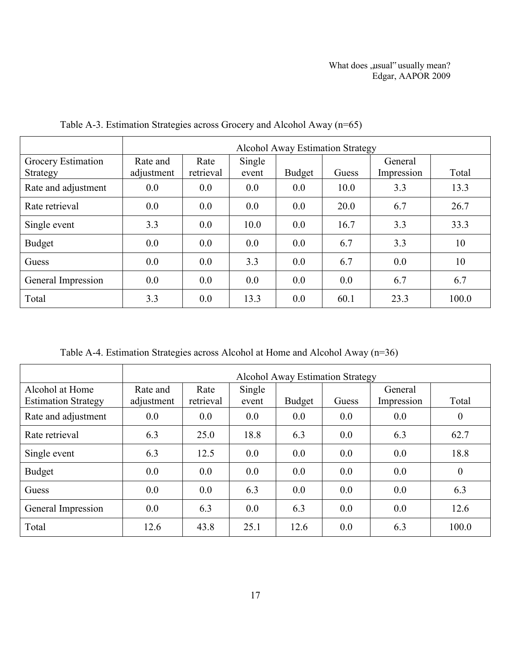|                                | <b>Alcohol Away Estimation Strategy</b> |                   |                 |               |       |                       |       |
|--------------------------------|-----------------------------------------|-------------------|-----------------|---------------|-------|-----------------------|-------|
| Grocery Estimation<br>Strategy | Rate and<br>adjustment                  | Rate<br>retrieval | Single<br>event | <b>Budget</b> | Guess | General<br>Impression | Total |
| Rate and adjustment            | 0.0                                     | 0.0               | 0.0             | 0.0           | 10.0  | 3.3                   | 13.3  |
| Rate retrieval                 | 0.0                                     | 0.0               | 0.0             | 0.0           | 20.0  | 6.7                   | 26.7  |
| Single event                   | 3.3                                     | 0.0               | 10.0            | 0.0           | 16.7  | 3.3                   | 33.3  |
| <b>Budget</b>                  | 0.0                                     | 0.0               | 0.0             | 0.0           | 6.7   | 3.3                   | 10    |
| Guess                          | 0.0                                     | 0.0               | 3.3             | 0.0           | 6.7   | 0.0                   | 10    |
| General Impression             | 0.0                                     | 0.0               | 0.0             | 0.0           | 0.0   | 6.7                   | 6.7   |
| Total                          | 3.3                                     | 0.0               | 13.3            | 0.0           | 60.1  | 23.3                  | 100.0 |

Table A-3. Estimation Strategies across Grocery and Alcohol Away (n=65)

Table A-4. Estimation Strategies across Alcohol at Home and Alcohol Away (n=36)

|                                               | <b>Alcohol Away Estimation Strategy</b> |                   |                 |               |       |                       |                  |  |
|-----------------------------------------------|-----------------------------------------|-------------------|-----------------|---------------|-------|-----------------------|------------------|--|
| Alcohol at Home<br><b>Estimation Strategy</b> | Rate and<br>adjustment                  | Rate<br>retrieval | Single<br>event | <b>Budget</b> | Guess | General<br>Impression | Total            |  |
| Rate and adjustment                           | 0.0                                     | 0.0               | 0.0             | 0.0           | 0.0   | 0.0                   | $\overline{0}$   |  |
| Rate retrieval                                | 6.3                                     | 25.0              | 18.8            | 6.3           | 0.0   | 6.3                   | 62.7             |  |
| Single event                                  | 6.3                                     | 12.5              | 0.0             | 0.0           | 0.0   | 0.0                   | 18.8             |  |
| <b>Budget</b>                                 | 0.0                                     | 0.0               | 0.0             | 0.0           | 0.0   | 0.0                   | $\boldsymbol{0}$ |  |
| Guess                                         | 0.0                                     | 0.0               | 6.3             | 0.0           | 0.0   | 0.0                   | 6.3              |  |
| General Impression                            | 0.0                                     | 6.3               | 0.0             | 6.3           | 0.0   | 0.0                   | 12.6             |  |
| Total                                         | 12.6                                    | 43.8              | 25.1            | 12.6          | 0.0   | 6.3                   | 100.0            |  |